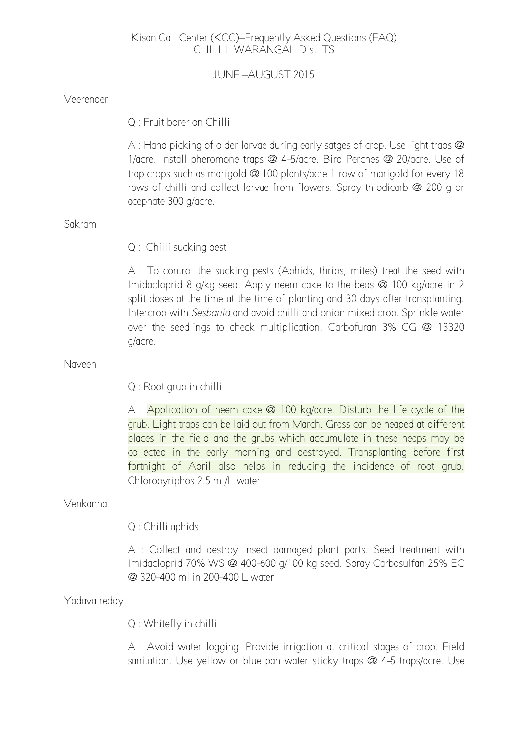# Kisan Call Center (KCC)–Frequently Asked Questions (FAQ) CHILLI: WARANGAL Dist. TS

JUNE –AUGUST 2015

| Veerender    |                                                                                                                                                                                                                                                                                                                                                                                                                               |  |
|--------------|-------------------------------------------------------------------------------------------------------------------------------------------------------------------------------------------------------------------------------------------------------------------------------------------------------------------------------------------------------------------------------------------------------------------------------|--|
|              | Q: Fruit borer on Chilli                                                                                                                                                                                                                                                                                                                                                                                                      |  |
|              | A : Hand picking of older larvae during early satges of crop. Use light traps $@$<br>1/acre. Install pheromone traps @ 4-5/acre. Bird Perches @ 20/acre. Use of<br>trap crops such as marigold @ 100 plants/acre 1 row of marigold for every 18<br>rows of chilli and collect larvae from flowers. Spray thiodicarb @ 200 g or<br>acephate 300 g/acre.                                                                        |  |
| Sakram       |                                                                                                                                                                                                                                                                                                                                                                                                                               |  |
|              | Q: Chilli sucking pest                                                                                                                                                                                                                                                                                                                                                                                                        |  |
|              | A : To control the sucking pests (Aphids, thrips, mites) treat the seed with<br>Imidacloprid 8 g/kg seed. Apply neem cake to the beds @ 100 kg/acre in 2<br>split doses at the time at the time of planting and 30 days after transplanting.<br>Intercrop with Sesbania and avoid chilli and onion mixed crop. Sprinkle water<br>over the seedlings to check multiplication. Carbofuran 3% CG @ 13320<br>g/acre.              |  |
| Naveen       |                                                                                                                                                                                                                                                                                                                                                                                                                               |  |
|              | Q : Root grub in chilli                                                                                                                                                                                                                                                                                                                                                                                                       |  |
|              | A : Application of neem cake @ 100 kg/acre. Disturb the life cycle of the<br>grub. Light traps can be laid out from March. Grass can be heaped at different<br>places in the field and the grubs which accumulate in these heaps may be<br>collected in the early morning and destroyed. Transplanting before first<br>fortnight of April also helps in reducing the incidence of root grub.<br>Chloropyriphos 2.5 ml/L water |  |
| Venkanna     |                                                                                                                                                                                                                                                                                                                                                                                                                               |  |
|              | Q : Chilli aphids                                                                                                                                                                                                                                                                                                                                                                                                             |  |
|              | A : Collect and destroy insect damaged plant parts. Seed treatment with<br>Imidacloprid 70% WS @ 400-600 g/100 kg seed. Spray Carbosulfan 25% EC<br>@ 320-400 ml in 200-400 L water                                                                                                                                                                                                                                           |  |
| Yadava reddy |                                                                                                                                                                                                                                                                                                                                                                                                                               |  |
|              |                                                                                                                                                                                                                                                                                                                                                                                                                               |  |

Q : Whitefly in chilli

A : Avoid water logging. Provide irrigation at critical stages of crop. Field sanitation. Use yellow or blue pan water sticky traps @ 4-5 traps/acre. Use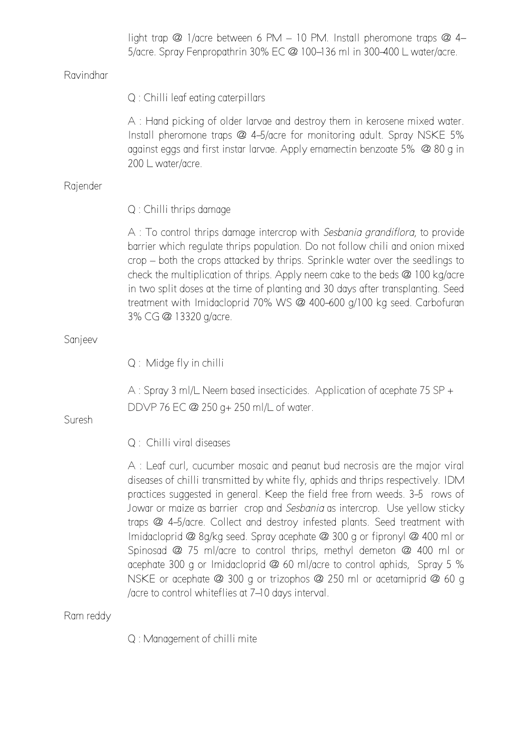|           | light trap @ 1/acre between 6 PM - 10 PM. Install pheromone traps @ 4-<br>5/acre. Spray Fenpropathrin 30% EC @ 100-136 ml in 300-400 L water/acre.                                                                                                                                                                                                                                                                                                                                                                                                                                                                                                                                                                                                                           |
|-----------|------------------------------------------------------------------------------------------------------------------------------------------------------------------------------------------------------------------------------------------------------------------------------------------------------------------------------------------------------------------------------------------------------------------------------------------------------------------------------------------------------------------------------------------------------------------------------------------------------------------------------------------------------------------------------------------------------------------------------------------------------------------------------|
| Ravindhar |                                                                                                                                                                                                                                                                                                                                                                                                                                                                                                                                                                                                                                                                                                                                                                              |
|           | Q : Chilli leaf eating caterpillars                                                                                                                                                                                                                                                                                                                                                                                                                                                                                                                                                                                                                                                                                                                                          |
|           | A : Hand picking of older larvae and destroy them in kerosene mixed water.<br>Install pheromone traps @ 4-5/acre for monitoring adult. Spray NSKE 5%<br>against eggs and first instar larvae. Apply emamectin benzoate 5% @ 80 g in<br>200 L water/acre.                                                                                                                                                                                                                                                                                                                                                                                                                                                                                                                     |
| Rajender  |                                                                                                                                                                                                                                                                                                                                                                                                                                                                                                                                                                                                                                                                                                                                                                              |
|           | Q : Chilli thrips damage                                                                                                                                                                                                                                                                                                                                                                                                                                                                                                                                                                                                                                                                                                                                                     |
|           | A : To control thrips damage intercrop with Sesbania grandiflora, to provide<br>barrier which regulate thrips population. Do not follow chili and onion mixed<br>crop – both the crops attacked by thrips. Sprinkle water over the seedlings to<br>check the multiplication of thrips. Apply neem cake to the beds @ 100 kg/acre<br>in two split doses at the time of planting and 30 days after transplanting. Seed<br>treatment with Imidacloprid 70% WS @ 400-600 g/100 kg seed. Carbofuran<br>3% CG @ 13320 g/acre.                                                                                                                                                                                                                                                      |
| Sanjeev   |                                                                                                                                                                                                                                                                                                                                                                                                                                                                                                                                                                                                                                                                                                                                                                              |
|           | Q: Midge fly in chilli                                                                                                                                                                                                                                                                                                                                                                                                                                                                                                                                                                                                                                                                                                                                                       |
| Suresh    | A: Spray 3 ml/L Neem based insecticides. Application of acephate 75 SP +<br>DDVP 76 EC @ 250 g+ 250 ml/L of water.                                                                                                                                                                                                                                                                                                                                                                                                                                                                                                                                                                                                                                                           |
|           | Q: Chilli viral diseases                                                                                                                                                                                                                                                                                                                                                                                                                                                                                                                                                                                                                                                                                                                                                     |
|           | A : Leaf curl, cucumber mosaic and peanut bud necrosis are the major viral<br>diseases of chilli transmitted by white fly, aphids and thrips respectively. IDM<br>practices suggested in general. Keep the field free from weeds. 3-5 rows of<br>Jowar or maize as barrier crop and Sesbania as intercrop. Use yellow sticky<br>traps @ 4-5/acre. Collect and destroy infested plants. Seed treatment with<br>Imidacloprid @ 8g/kg seed. Spray acephate @ 300 g or fipronyl @ 400 ml or<br>Spinosad $@$ 75 ml/acre to control thrips, methyl demeton $@$ 400 ml or<br>acephate 300 g or Imidacloprid @ 60 ml/acre to control aphids, Spray 5 %<br>NSKE or acephate @ 300 g or trizophos @ 250 ml or acetamiprid @ 60 g<br>/acre to control whiteflies at 7–10 days interval. |
| Ram reddy |                                                                                                                                                                                                                                                                                                                                                                                                                                                                                                                                                                                                                                                                                                                                                                              |

Q : Management of chilli mite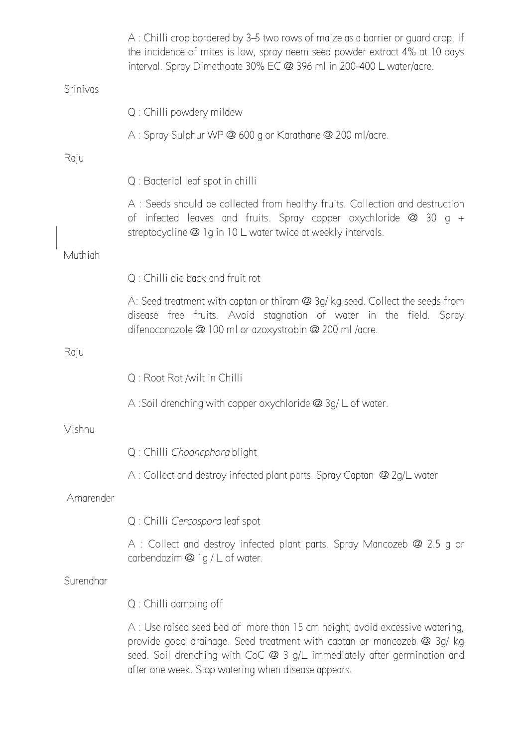|           | A: Chilli crop bordered by 3–5 two rows of maize as a barrier or guard crop. If<br>the incidence of mites is low, spray neem seed powder extract 4% at 10 days<br>interval. Spray Dimethoate 30% EC @ 396 ml in 200-400 L water/acre. |
|-----------|---------------------------------------------------------------------------------------------------------------------------------------------------------------------------------------------------------------------------------------|
| Srinivas  |                                                                                                                                                                                                                                       |
|           | Q : Chilli powdery mildew                                                                                                                                                                                                             |
|           | A: Spray Sulphur WP @ 600 g or Karathane @ 200 ml/acre.                                                                                                                                                                               |
| Raju      |                                                                                                                                                                                                                                       |
|           | Q : Bacterial leaf spot in chilli                                                                                                                                                                                                     |
|           | A: Seeds should be collected from healthy fruits. Collection and destruction<br>of infected leaves and fruits. Spray copper oxychloride $\omega$ 30 g +<br>streptocycline @ 1g in 10 L water twice at weekly intervals.               |
| Muthiah   |                                                                                                                                                                                                                                       |
|           | Q: Chilli die back and fruit rot                                                                                                                                                                                                      |
|           | A: Seed treatment with captan or thiram @ 3g/ kg seed. Collect the seeds from<br>disease free fruits. Avoid stagnation of water in the field. Spray<br>difenoconazole @ 100 ml or azoxystrobin @ 200 ml /acre.                        |
| Raju      |                                                                                                                                                                                                                                       |
|           | Q: Root Rot /wilt in Chilli                                                                                                                                                                                                           |
|           | A :Soil drenching with copper oxychloride $@$ 3g/ $L$ of water.                                                                                                                                                                       |
| Vishnu    |                                                                                                                                                                                                                                       |
|           | Q : Chilli Choanephora blight                                                                                                                                                                                                         |
|           | A: Collect and destroy infected plant parts. Spray Captan @ 2g/L water                                                                                                                                                                |
| Amarender |                                                                                                                                                                                                                                       |
|           | Q : Chilli Cercospora leaf spot                                                                                                                                                                                                       |
|           | A : Collect and destroy infected plant parts. Spray Mancozeb @ 2.5 g or<br>carbendazim @ 1g / L of water.                                                                                                                             |
| Surendhar |                                                                                                                                                                                                                                       |
|           | Q : Chilli damping off                                                                                                                                                                                                                |
|           | A : Use raised seed bed of more than 15 cm height, avoid excessive watering,<br>provide good drainage. Seed treatment with captan or mancozeb @ 3g/ kg<br>seed. Soil drenching with CoC @ 3 g/L immediately after germination and     |

after one week. Stop watering when disease appears.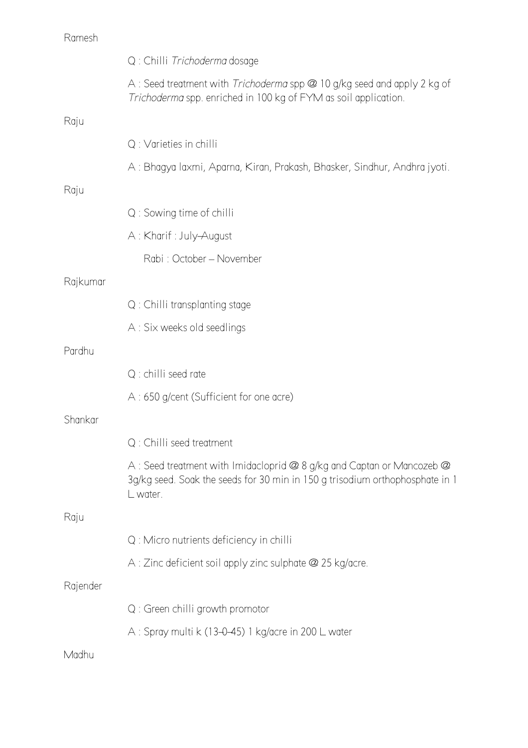|          | Q : Chilli Trichoderma dosage                                                                                                                                      |
|----------|--------------------------------------------------------------------------------------------------------------------------------------------------------------------|
|          | A: Seed treatment with <i>Trichoderma</i> spp @ 10 g/kg seed and apply 2 kg of<br>Trichoderma spp. enriched in 100 kg of FYM as soil application.                  |
| Raju     |                                                                                                                                                                    |
|          | Q : Varieties in chilli                                                                                                                                            |
|          | A: Bhagya laxmi, Aparna, Kiran, Prakash, Bhasker, Sindhur, Andhra jyoti.                                                                                           |
| Raju     |                                                                                                                                                                    |
|          | Q : Sowing time of chilli                                                                                                                                          |
|          | A: Kharif: July-August                                                                                                                                             |
|          | Rabi: October - November                                                                                                                                           |
| Rajkumar |                                                                                                                                                                    |
|          | Q: Chilli transplanting stage                                                                                                                                      |
|          | A : Six weeks old seedlings                                                                                                                                        |
| Pardhu   |                                                                                                                                                                    |
|          | Q : chilli seed rate                                                                                                                                               |
|          | A : 650 g/cent (Sufficient for one acre)                                                                                                                           |
| Shankar  |                                                                                                                                                                    |
|          | Q : Chilli seed treatment                                                                                                                                          |
|          | A : Seed treatment with Imidacloprid @ 8 g/kg and Captan or Mancozeb @<br>3g/kg seed. Soak the seeds for 30 min in 150 g trisodium orthophosphate in 1<br>L water. |
| Raju     |                                                                                                                                                                    |
|          | Q : Micro nutrients deficiency in chilli                                                                                                                           |
|          | A : Zinc deficient soil apply zinc sulphate @ 25 kg/acre.                                                                                                          |
| Rajender |                                                                                                                                                                    |
|          | Q : Green chilli growth promotor                                                                                                                                   |
|          | A : Spray multi k (13-0-45) 1 kg/acre in 200 L water                                                                                                               |
| Madhu    |                                                                                                                                                                    |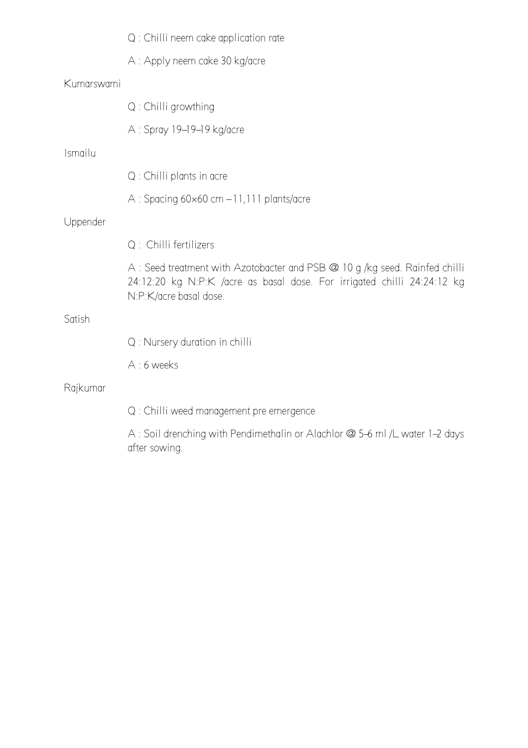|            | $Q:$ Chilli neem cake application rate                                                                                                                                          |
|------------|---------------------------------------------------------------------------------------------------------------------------------------------------------------------------------|
|            | A : Apply neem cake 30 kg/acre                                                                                                                                                  |
| Kumarswami |                                                                                                                                                                                 |
|            | Q: Chilli growthing                                                                                                                                                             |
|            | A : Spray 19–19–19 kg/acre                                                                                                                                                      |
| Ismailu    |                                                                                                                                                                                 |
|            | Q : Chilli plants in acre                                                                                                                                                       |
|            | $A:$ Spacing 60 $\times$ 60 cm $-11,111$ plants/acre                                                                                                                            |
| Uppender   |                                                                                                                                                                                 |
|            | Q : Chilli fertilizers                                                                                                                                                          |
|            | A: Seed treatment with Azotobacter and PSB @ 10 g /kg seed. Rainfed chilli<br>24:12:20 kg N:P:K /acre as basal dose. For irrigated chilli 24:24:12 kg<br>N:P:K/acre basal dose. |
| Satish     |                                                                                                                                                                                 |
|            | Q : Nursery duration in chilli                                                                                                                                                  |
|            | A: 6 weeks                                                                                                                                                                      |
| Rajkumar   |                                                                                                                                                                                 |
|            | Q : Chilli weed management pre emergence                                                                                                                                        |
|            | A: Soil drenching with Pendimethalin or Alachlor @ 5-6 ml /L water 1-2 days<br>after sowing.                                                                                    |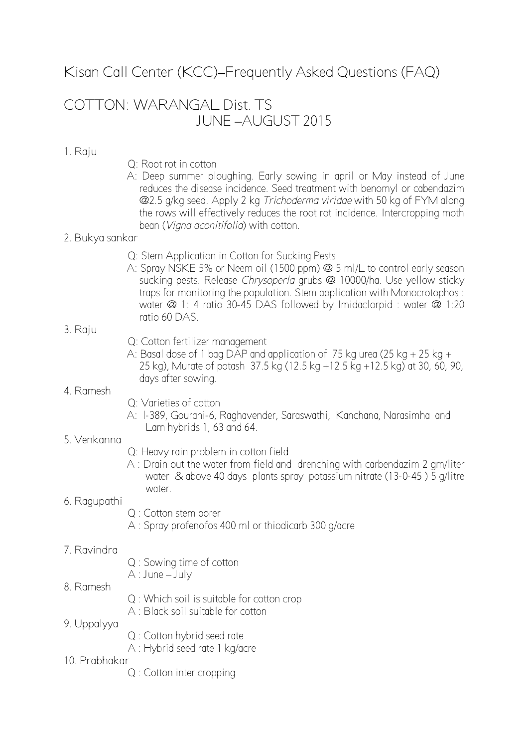Kisan Call Center (KCC)**–**Frequently Asked Questions (FAQ)

# COTTON: WARANGAL Dist. TS JUNE –AUGUST 2015

### 1. Raju

- Q: Root rot in cotton
- A: Deep summer ploughing. Early sowing in april or May instead of June reduces the disease incidence. Seed treatment with benomyl or cabendazim @2.5 g/kg seed. Apply 2 kg *Trichoderma viridae* with 50 kg of FYM along the rows will effectively reduces the root rot incidence. Intercropping moth bean (*Vigna aconitifolia*) with cotton.

#### 2. Bukya sankar

- Q: Stem Application in Cotton for Sucking Pests
- A: Spray NSKE 5% or Neem oil (1500 ppm) @ 5 ml/L to control early season sucking pests. Release *Chrysoperla* grubs @ 10000/ha. Use yellow sticky traps for monitoring the population. Stem application with Monocrotophos : water @ 1: 4 ratio 30-45 DAS followed by Imidaclorpid : water @ 1:20 ratio 60 DAS.

#### 3. Raju

- Q: Cotton fertilizer management
- A: Basal dose of 1 bag DAP and application of 75 kg urea (25 kg + 25 kg + 25 kg), Murate of potash 37.5 kg (12.5 kg +12.5 kg +12.5 kg) at 30, 60, 90, days after sowing.

#### 4. Ramesh

- Q: Varieties of cotton
- A: l-389, Gourani-6, Raghavender, Saraswathi, Kanchana, Narasimha and Lam hybrids 1, 63 and 64.

#### 5. Venkanna

- Q: Heavy rain problem in cotton field
- A : Drain out the water from field and drenching with carbendazim 2 gm/liter water & above 40 days plants spray potassium nitrate (13-0-45 ) 5 g/litre water.

## 6. Ragupathi

- Q : Cotton stem borer
- A : Spray profenofos 400 ml or thiodicarb 300 g/acre

#### 7. Ravindra

- Q : Sowing time of cotton
- A : June July

#### 8. Ramesh

- Q : Which soil is suitable for cotton crop
- A : Black soil suitable for cotton

## 9. Uppalyya

- Q : Cotton hybrid seed rate
- A : Hybrid seed rate 1 kg/acre
- 10. Prabhakar
	- Q : Cotton inter cropping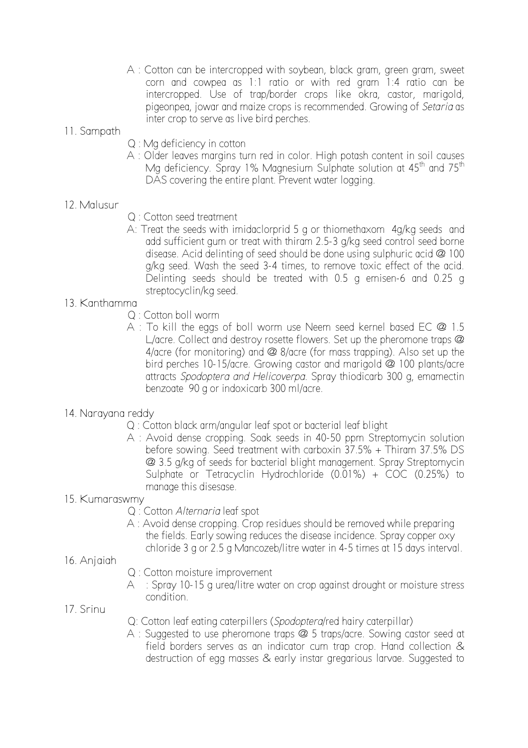A : Cotton can be intercropped with soybean, black gram, green gram, sweet corn and cowpea as 1:1 ratio or with red gram 1:4 ratio can be intercropped. Use of trap/border crops like okra, castor, marigold, pigeonpea, jowar and maize crops is recommended. Growing of *Setaria* as inter crop to serve as live bird perches.

# 11. Sampath

- Q : Mg deficiency in cotton
- A : Older leaves margins turn red in color. High potash content in soil causes Mg deficiency. Spray 1% Magnesium Sulphate solution at  $45<sup>th</sup>$  and  $75<sup>th</sup>$ DAS covering the entire plant. Prevent water logging.

# 12. Malusur

- Q : Cotton seed treatment
- A: Treat the seeds with imidaclorprid 5 g or thiomethaxom 4g/kg seeds and add sufficient gum or treat with thiram 2.5-3 g/kg seed control seed borne disease. Acid delinting of seed should be done using sulphuric acid @ 100 g/kg seed. Wash the seed 3-4 times, to remove toxic effect of the acid. Delinting seeds should be treated with 0.5 g emisen-6 and 0.25 g streptocyclin/kg seed.

## 13. Kanthamma

- Q : Cotton boll worm
- A : To kill the eggs of boll worm use Neem seed kernel based EC @ 1.5 L/acre. Collect and destroy rosette flowers. Set up the pheromone traps @ 4/acre (for monitoring) and @ 8/acre (for mass trapping). Also set up the bird perches 10-15/acre. Growing castor and marigold @ 100 plants/acre attracts *Spodoptera and Helicoverpa.* Spray thiodicarb 300 g, emamectin benzoate 90 g or indoxicarb 300 ml/acre.

## 14. Narayana reddy

- Q : Cotton black arm/angular leaf spot or bacterial leaf blight
- A : Avoid dense cropping. Soak seeds in 40-50 ppm Streptomycin solution before sowing. Seed treatment with carboxin  $37.5% + Thiram 37.5%$  DS @ 3.5 g/kg of seeds for bacterial blight management. Spray Streptomycin Sulphate or Tetracyclin Hydrochloride (0.01%) + COC (0.25%) to manage this disesase.

## 15. Kumaraswmy

- Q : Cotton *Alternaria* leaf spot
- A : Avoid dense cropping. Crop residues should be removed while preparing the fields. Early sowing reduces the disease incidence. Spray copper oxy chloride 3 g or 2.5 g Mancozeb/litre water in 4-5 times at 15 days interval.
- 16. Anjaiah
- Q : Cotton moisture improvement
- A : Spray 10-15 g urea/litre water on crop against drought or moisture stress condition.
- 17. Srinu
- Q: Cotton leaf eating caterpillers (*Spodoptera*/red hairy caterpillar)
- A : Suggested to use pheromone traps @ 5 traps/acre. Sowing castor seed at field borders serves as an indicator cum trap crop. Hand collection & destruction of egg masses & early instar gregarious larvae. Suggested to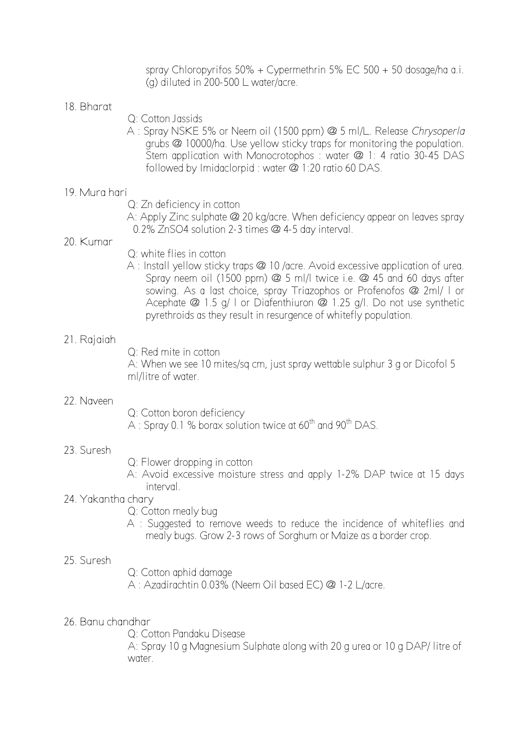spray Chloropyrifos 50% + Cypermethrin 5% EC 500 + 50 dosage/ha a.i. (g) diluted in 200-500 L water/acre.

#### 18. Bharat

- Q: Cotton Jassids
- A : Spray NSKE 5% or Neem oil (1500 ppm) @ 5 ml/L. Release *Chrysoperla* grubs @ 10000/ha. Use yellow sticky traps for monitoring the population. Stem application with Monocrotophos: water @ 1: 4 ratio 30-45 DAS followed by Imidaclorpid : water @ 1:20 ratio 60 DAS.

#### 19. Mura hari

- Q: Zn deficiency in cotton
- A: Apply Zinc sulphate @ 20 kg/acre. When deficiency appear on leaves spray 0.2% ZnSO4 solution 2-3 times @ 4-5 day interval.

## 20. Kumar

- Q: white flies in cotton
- A : Install yellow sticky traps @ 10 /acre. Avoid excessive application of urea. Spray neem oil (1500 ppm) @ 5 ml/l twice i.e. @ 45 and 60 days after sowing. As a last choice, spray Triazophos or Profenofos @ 2ml/ l or Acephate @ 1.5 g/ l or Diafenthiuron @ 1.25 g/l. Do not use synthetic pyrethroids as they result in resurgence of whitefly population.

#### 21. Rajaiah

Q: Red mite in cotton

A: When we see 10 mites/sq cm, just spray wettable sulphur 3 g or Dicofol 5 ml/litre of water.

#### 22. Naveen

- Q: Cotton boron deficiency
- A : Spray 0.1 % borax solution twice at  $60^{th}$  and  $90^{th}$  DAS.

#### 23. Suresh

Q: Flower dropping in cotton

A: Avoid excessive moisture stress and apply 1-2% DAP twice at 15 days interval.

#### 24. Yakantha chary

Q: Cotton mealy bug

A : Suggested to remove weeds to reduce the incidence of whiteflies and mealy bugs. Grow 2-3 rows of Sorghum or Maize as a border crop.

#### 25. Suresh

Q: Cotton aphid damage

A : Azadirachtin 0.03% (Neem Oil based EC) @ 1-2 L/acre.

26. Banu chandhar

Q: Cotton Pandaku Disease

A: Spray 10 g Magnesium Sulphate along with 20 g urea or 10 g DAP/ litre of water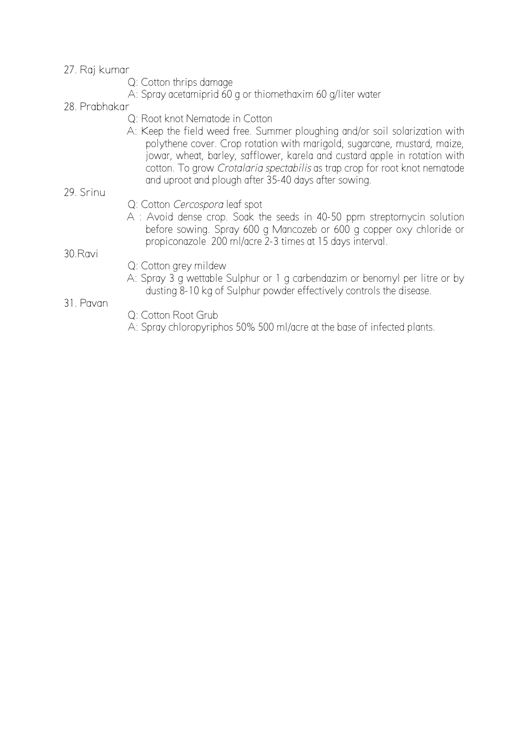#### 27. Raj kumar

- Q: Cotton thrips damage
- A: Spray acetamiprid 60 g or thiomethaxim 60 g/liter water
- 28. Prabhakar
	- Q: Root knot Nematode in Cotton
	- A: Keep the field weed free. Summer ploughing and/or soil solarization with polythene cover. Crop rotation with marigold, sugarcane, mustard, maize, jowar, wheat, barley, safflower, karela and custard apple in rotation with cotton. To grow *Crotalaria spectabilis* as trap crop for root knot nematode and uproot and plough after 35-40 days after sowing.
- 29. Srinu
- Q: Cotton *Cercospora* leaf spot
- A : Avoid dense crop. Soak the seeds in 40-50 ppm streptomycin solution before sowing. Spray 600 g Mancozeb or 600 g copper oxy chloride or propiconazole 200 ml/acre 2-3 times at 15 days interval.

### 30.Ravi

- Q: Cotton grey mildew
- A: Spray 3 g wettable Sulphur or 1 g carbendazim or benomyl per litre or by dusting 8-10 kg of Sulphur powder effectively controls the disease.

#### 31. Pavan

- Q: Cotton Root Grub
- A: Spray chloropyriphos 50% 500 ml/acre at the base of infected plants.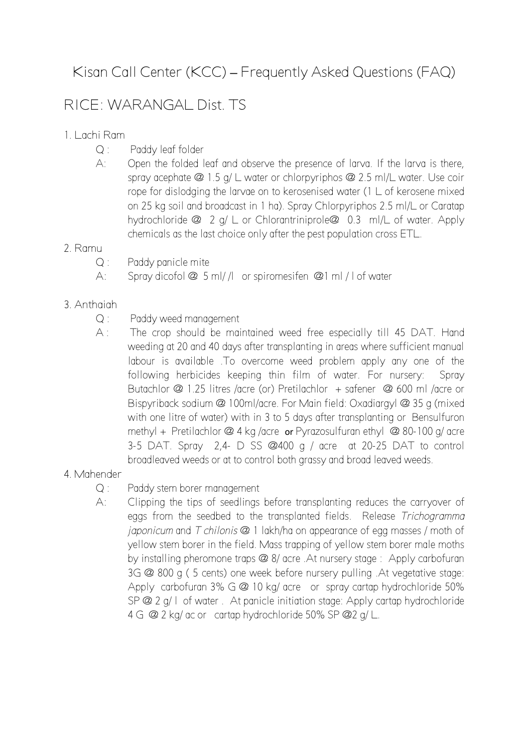# Kisan Call Center (KCC) **–** Frequently Asked Questions (FAQ)

# RICE: WARANGAL Dist. TS

# 1. Lachi Ram

- Q : Paddy leaf folder
- A: Open the folded leaf and observe the presence of larva. If the larva is there, spray acephate @ 1.5 g/ L water or chlorpyriphos @ 2.5 ml/L water. Use coir rope for dislodging the larvae on to kerosenised water (1 L of kerosene mixed on 25 kg soil and broadcast in 1 ha). Spray Chlorpyriphos 2.5 ml/L or Caratap hydrochloride @ 2 g/ L or Chlorantriniprole@ 0.3 ml/L of water. Apply chemicals as the last choice only after the pest population cross ETL.

# 2. Ramu

- Q : Paddy panicle mite
- A: Spray dicofol @ 5 ml/ /l or spiromesifen @1 ml / l of water

# 3. Anthaiah

- Q : Paddy weed management
- A : The crop should be maintained weed free especially till 45 DAT. Hand weeding at 20 and 40 days after transplanting in areas where sufficient manual labour is available .To overcome weed problem apply any one of the following herbicides keeping thin film of water. For nursery: Spray Butachlor @ 1.25 litres /acre (or) Pretilachlor + safener @ 600 ml /acre or Bispyriback sodium @ 100ml/acre. For Main field: Oxadiargyl @ 35 g (mixed with one litre of water) with in 3 to 5 days after transplanting or Bensulfuron methyl + Pretilachlor @ 4 kg /acre or Pyrazosulfuran ethyl @ 80-100 g/ acre 3-5 DAT. Spray 2,4- D SS @400 g / acre at 20-25 DAT to control broadleaved weeds or at to control both grassy and broad leaved weeds.

# 4. Mahender

- Q : Paddy stem borer management
- A: Clipping the tips of seedlings before transplanting reduces the carryover of eggs from the seedbed to the transplanted fields. Release *Trichogramma japonicum* and *T chilonis* @ 1 lakh/ha on appearance of egg masses / moth of yellow stem borer in the field. Mass trapping of yellow stem borer male moths by installing pheromone traps @ 8/ acre .At nursery stage : Apply carbofuran 3G @ 800 g ( 5 cents) one week before nursery pulling .At vegetative stage: Apply carbofuran 3% G @ 10 kg/ acre or spray cartap hydrochloride 50% SP @ 2 g/ l of water . At panicle initiation stage: Apply cartap hydrochloride 4 G @ 2 kg/ ac or cartap hydrochloride 50% SP @ 2 g/ L.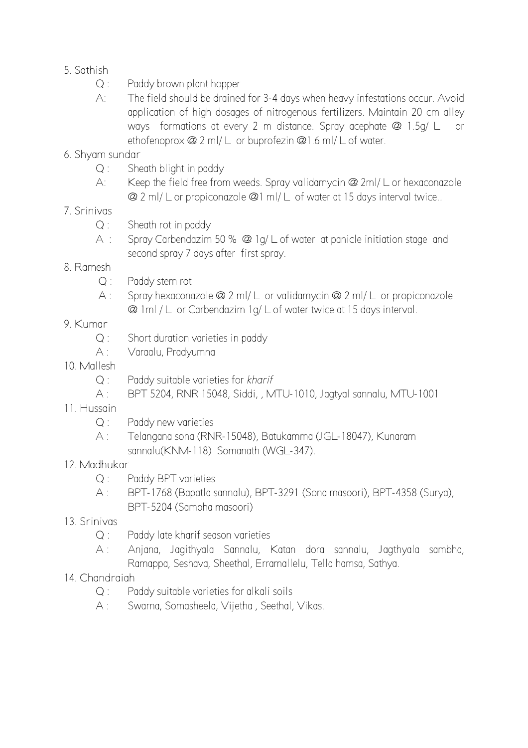- 5. Sathish
	- Q : Paddy brown plant hopper
	- A: The field should be drained for 3-4 days when heavy infestations occur. Avoid application of high dosages of nitrogenous fertilizers. Maintain 20 cm alley ways formations at every 2 m distance. Spray acephate @ 1.5g/ L or ethofenoprox @ 2 ml/ L or buprofezin @1.6 ml/ L of water.
- 6. Shyam sundar
	- Q : Sheath blight in paddy
	- A: Keep the field free from weeds. Spray validamycin @ 2ml/ L or hexaconazole @ 2 ml/ L or propiconazole @1 ml/ L of water at 15 days interval twice..
- 7. Srinivas
	- $Q:$  Sheath rot in paddy
	- A : Spray Carbendazim 50 % @ 1g/ L of water at panicle initiation stage and second spray 7 days after first spray.
- 8. Ramesh
	- Q : Paddy stem rot
	- A : Spray hexaconazole @ 2 ml/ L or validamycin @ 2 ml/ L or propiconazole @ 1ml / L or Carbendazim 1g/ L of water twice at 15 days interval.
- 9. Kumar
	- Q : Short duration varieties in paddy
	- A : Varaalu, Pradyumna
- 10. Mallesh
	- Q : Paddy suitable varieties for *kharif*
	- A : BPT 5204, RNR 15048, Siddi, , MTU-1010, Jagtyal sannalu, MTU-1001
- 11. Hussain
	- Q : Paddy new varieties
	- A : Telangana sona (RNR-15048), Batukamma (JGL-18047), Kunaram sannalu(KNM-118) Somanath (WGL-347).
- 12. Madhukar
	- Q : Paddy BPT varieties
	- A : BPT-1768 (Bapatla sannalu), BPT-3291 (Sona masoori), BPT-4358 (Surya), BPT-5204 (Sambha masoori)
- 13. Srinivas
	- Q : Paddy late kharif season varieties
	- A : Anjana, Jagithyala Sannalu, Katan dora sannalu, Jagthyala sambha, Ramappa, Seshava, Sheethal, Erramallelu, Tella hamsa, Sathya.

## 14. Chandraiah

- Q : Paddy suitable varieties for alkali soils
- A : Swarna, Somasheela, Vijetha , Seethal, Vikas.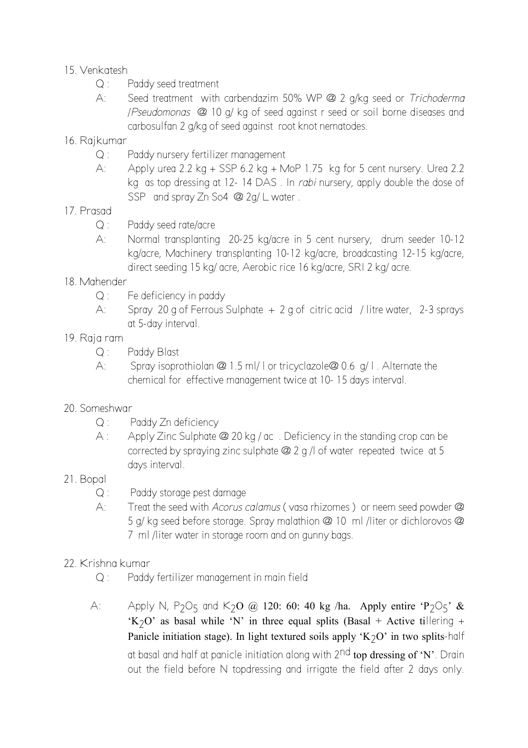# 15. Venkatesh

- Q : Paddy seed treatment
- A: Seed treatment with carbendazim 50% WP @ 2 g/kg seed or *Trichoderma*  /*Pseudomonas* @ 10 g/ kg of seed against r seed or soil borne diseases and carbosulfan 2 g/kg of seed against root knot nematodes.
- 16. Rajkumar
	- Q : Paddy nursery fertilizer management
	- A: Apply urea 2.2 kg + SSP 6.2 kg + MoP 1.75 kg for 5 cent nursery. Urea 2.2 kg as top dressing at 12- 14 DAS . In *rabi* nursery, apply double the dose of SSP and spray Zn So4 @ 2g/ L water.
- 17. Prasad
	- Q : Paddy seed rate/acre
	- A: Normal transplanting 20-25 kg/acre in 5 cent nursery, drum seeder 10-12 kg/acre, Machinery transplanting 10-12 kg/acre, broadcasting 12-15 kg/acre, direct seeding 15 kg/ acre, Aerobic rice 16 kg/acre, SRI 2 kg/ acre.
- 18. Mahender
	- Q : Fe deficiency in paddy
	- A: Spray 20 g of Ferrous Sulphate + 2 g of citric acid / litre water, 2-3 sprays at 5-day interval.
- 19. Raja ram
	- Q : Paddy Blast
	- A: Spray isoprothiolan @ 1.5 ml/ l or tricyclazole@ 0.6 g/ l . Alternate the chemical for effective management twice at 10- 15 days interval.
- 20. Someshwar
	- Q : Paddy Zn deficiency
	- A : Apply Zinc Sulphate @ 20 kg / ac. Deficiency in the standing crop can be corrected by spraying zinc sulphate @ 2 g /l of water repeated twice at 5 days interval.
- 21. Bopal
	- Q : Paddy storage pest damage
	- A: Treat the seed with *Acorus calamus* ( vasa rhizomes ) or neem seed powder @ 5 g/ kg seed before storage. Spray malathion @ 10 ml /liter or dichlorovos @ 7 ml /liter water in storage room and on gunny bags.
- 22. Krishna kumar
	- Q : Paddy fertilizer management in main field
	- A: Apply N, P<sub>2</sub>O<sub>5</sub> and K<sub>2</sub>O @ 120: 60: 40 kg /ha. Apply entire 'P<sub>2</sub>O<sub>5</sub>' & 'K<sub>2</sub>O' as basal while 'N' in three equal splits (Basal + Active tillering + Panicle initiation stage). In light textured soils apply ' $K_2O'$  in two splits-half at basal and half at panicle initiation along with  $2^{nd}$  top dressing of 'N'. Drain out the field before N topdressing and irrigate the field after 2 days only.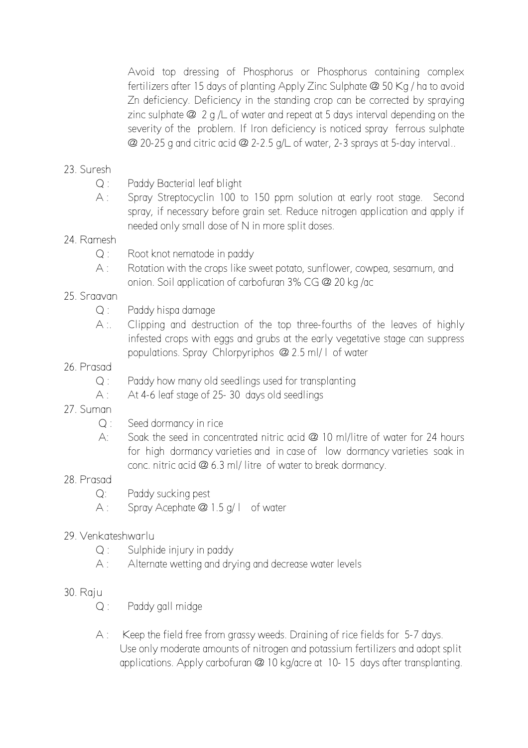Avoid top dressing of Phosphorus or Phosphorus containing complex fertilizers after 15 days of planting Apply Zinc Sulphate @ 50 Kg / ha to avoid Zn deficiency. Deficiency in the standing crop can be corrected by spraying zinc sulphate @ 2 g /L of water and repeat at 5 days interval depending on the severity of the problem. If Iron deficiency is noticed spray ferrous sulphate @ 20-25 g and citric acid @ 2-2.5 g/L of water, 2-3 sprays at 5-day interval..

# 23. Suresh

- Q : Paddy Bacterial leaf blight
- A : Spray Streptocyclin 100 to 150 ppm solution at early root stage. Second spray, if necessary before grain set. Reduce nitrogen application and apply if needed only small dose of N in more split doses.

## 24. Ramesh

- Q : Root knot nematode in paddy
- A : Rotation with the crops like sweet potato, sunflower, cowpea, sesamum, and onion. Soil application of carbofuran 3% CG @ 20 kg /ac

# 25. Sraavan

- Q : Paddy hispa damage
- A :. Clipping and destruction of the top three-fourths of the leaves of highly infested crops with eggs and grubs at the early vegetative stage can suppress populations. Spray Chlorpyriphos @ 2.5 ml/ l of water

### 26. Prasad

- Q : Paddy how many old seedlings used for transplanting
- A : At 4-6 leaf stage of 25-30 days old seedlings
- 27. Suman
	- Q : Seed dormancy in rice
	- A: Soak the seed in concentrated nitric acid @ 10 ml/litre of water for 24 hours for high dormancy varieties and in case of low dormancy varieties soak in conc. nitric acid @ 6.3 ml/ litre of water to break dormancy.

## 28. Prasad

- Q: Paddy sucking pest
- A : Spray Acephate @ 1.5 g/l of water

## 29. Venkateshwarlu

- Q : Sulphide injury in paddy
- A : Alternate wetting and drying and decrease water levels

### 30. Raju

- Q : Paddy gall midge
- A : Keep the field free from grassy weeds. Draining of rice fields for 5-7 days. Use only moderate amounts of nitrogen and potassium fertilizers and adopt split applications. Apply carbofuran @ 10 kg/acre at 10- 15 days after transplanting.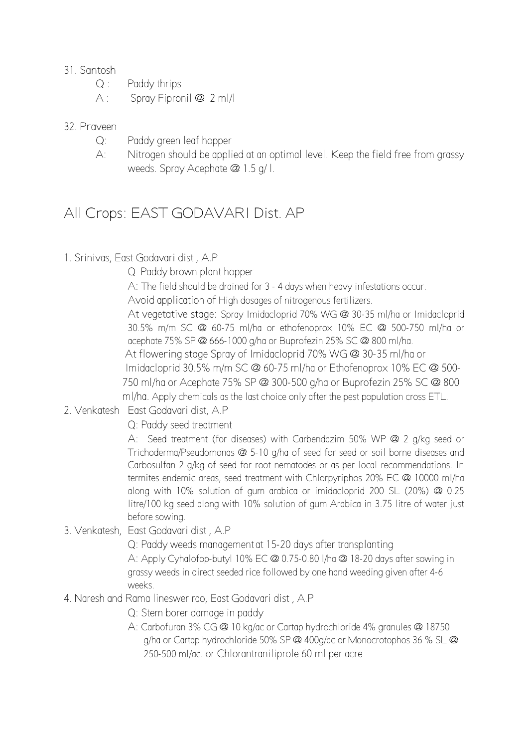## 31. Santosh

- Q : Paddy thrips
- A : Spray Fipronil @ 2 ml/l

# 32. Praveen

- Q: Paddy green leaf hopper
- A: Nitrogen should be applied at an optimal level. Keep the field free from grassy weeds. Spray Acephate @ 1.5 g/ l.

# All Crops: EAST GODAVARI Dist. AP

1. Srinivas, East Godavari dist , A.P

Q Paddy brown plant hopper

A: The field should be drained for 3 - 4 days when heavy infestations occur.

Avoid application of High dosages of nitrogenous fertilizers.

At vegetative stage: Spray Imidacloprid 70% WG @ 30-35 ml/ha or Imidacloprid 30.5% m/m SC @ 60-75 ml/ha or ethofenoprox 10% EC @ 500-750 ml/ha or acephate 75% SP @ 666-1000 g/ha or Buprofezin 25% SC @ 800 ml/ha. At flowering stage Spray of Imidacloprid 70% WG @ 30-35 ml/ha or Imidacloprid 30.5% m/m SC @ 60-75 ml/ha or Ethofenoprox 10% EC @ 500- 750 ml/ha or Acephate 75% SP @ 300-500 g/ha or Buprofezin 25% SC @ 800 ml/ha. Apply chemicals as the last choice only after the pest population cross ETL.

2. Venkatesh East Godavari dist, A.P

Q: Paddy seed treatment

A: Seed treatment (for diseases) with Carbendazim 50% WP @ 2 g/kg seed or Trichoderma/Pseudomonas @ 5-10 g/ha of seed for seed or soil borne diseases and Carbosulfan 2 g/kg of seed for root nematodes or as per local recommendations. In termites endemic areas, seed treatment with Chlorpyriphos 20% EC @ 10000 ml/ha along with 10% solution of gum arabica or imidacloprid 200 SL (20%) @ 0.25 litre/100 kg seed along with 10% solution of gum Arabica in 3.75 litre of water just before sowing.

3. Venkatesh, East Godavari dist , A.P

Q: Paddy weeds management at 15-20 days after transplanting A: Apply Cyhalofop-butyl 10% EC @ 0.75-0.80 l/ha @ 18-20 days after sowing in grassy weeds in direct seeded rice followed by one hand weeding given after 4-6 weeks.

4. Naresh and Rama lineswer rao, East Godavari dist , A.P

Q: Stem borer damage in paddy

A: Carbofuran 3% CG @ 10 kg/ac or Cartap hydrochloride 4% granules @ 18750 g/ha or Cartap hydrochloride 50% SP @ 400g/ac or Monocrotophos 36 % SL @ 250-500 ml/ac. or Chlorantraniliprole 60 ml per acre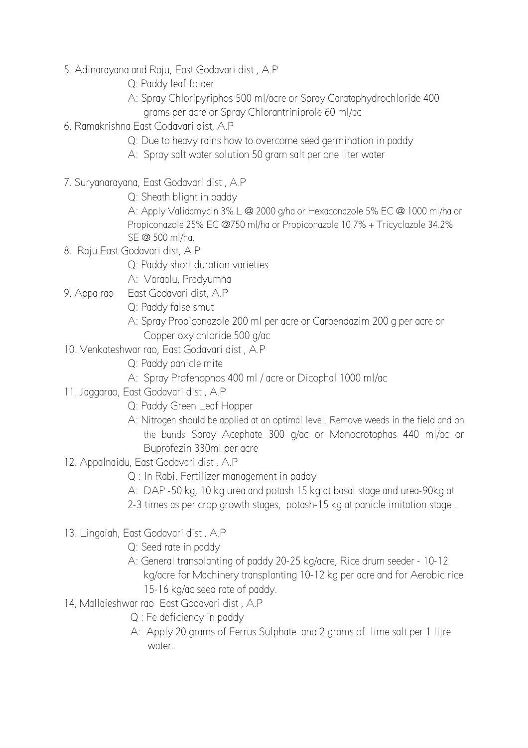- 5. Adinarayana and Raju, East Godavari dist , A.P
	- Q: Paddy leaf folder
	- A: Spray Chloripyriphos 500 ml/acre or Spray Carataphydrochloride 400 grams per acre or Spray Chlorantriniprole 60 ml/ac
- 6. Ramakrishna East Godavari dist, A.P
	- Q: Due to heavy rains how to overcome seed germination in paddy
	- A: Spray salt water solution 50 gram salt per one liter water
- 7. Suryanarayana, East Godavari dist , A.P
	- Q: Sheath blight in paddy

A: Apply Validamycin 3% L @ 2000 g/ha or Hexaconazole 5% EC @ 1000 ml/ha or Propiconazole 25% EC @750 ml/ha or Propiconazole 10.7% + Tricyclazole 34.2% SE @ 500 ml/ha.

- 8. Raju East Godavari dist, A.P
	- Q: Paddy short duration varieties
	- A: Varaalu, Pradyumna
- 9. Appa rao East Godavari dist, A.P
	- Q: Paddy false smut
	- A: Spray Propiconazole 200 ml per acre or Carbendazim 200 g per acre or Copper oxy chloride 500 g/ac
- 10. Venkateshwar rao, East Godavari dist , A.P
	- Q: Paddy panicle mite
	- A: Spray Profenophos 400 ml / acre or Dicophal 1000 ml/ac
- 11. Jaggarao, East Godavari dist , A.P
	- Q: Paddy Green Leaf Hopper
	- A: Nitrogen should be applied at an optimal level. Remove weeds in the field and on the bunds Spray Acephate 300 g/ac or Monocrotophas 440 ml/ac or Buprofezin 330ml per acre
- 12. Appalnaidu, East Godavari dist , A.P
	- Q : In Rabi, Fertilizer management in paddy
	- A: DAP -50 kg, 10 kg urea and potash 15 kg at basal stage and urea-90kg at
	- 2-3 times as per crop growth stages, potash-15 kg at panicle imitation stage .
- 13. Lingaiah, East Godavari dist , A.P
	- Q: Seed rate in paddy
	- A: General transplanting of paddy 20-25 kg/acre, Rice drum seeder 10-12 kg/acre for Machinery transplanting 10-12 kg per acre and for Aerobic rice 15-16 kg/ac seed rate of paddy.
- 14, Mallaieshwar rao East Godavari dist , A.P
	- Q : Fe deficiency in paddy
	- A: Apply 20 grams of Ferrus Sulphate and 2 grams of lime salt per 1 litre water.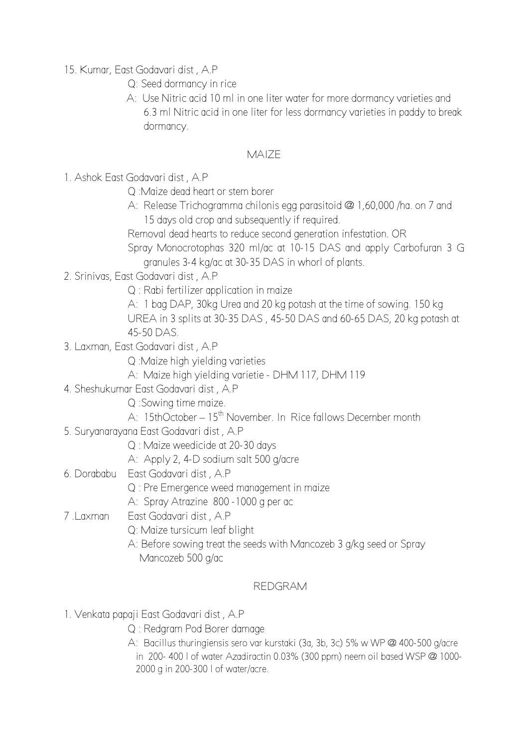15. Kumar, East Godavari dist , A.P

- Q: Seed dormancy in rice
- A: Use Nitric acid 10 ml in one liter water for more dormancy varieties and 6.3 ml Nitric acid in one liter for less dormancy varieties in paddy to break dormancy.

# MAIZE

- 1. Ashok East Godavari dist , A.P
	- Q :Maize dead heart or stem borer
	- A: Release Trichogramma chilonis egg parasitoid @ 1,60,000 /ha. on 7 and 15 days old crop and subsequently if required.
	- Removal dead hearts to reduce second generation infestation. OR
	- Spray Monocrotophas 320 ml/ac at 10-15 DAS and apply Carbofuran 3 G granules 3-4 kg/ac at 30-35 DAS in whorl of plants.
- 2. Srinivas, East Godavari dist , A.P
	- Q : Rabi fertilizer application in maize
	- A: 1 bag DAP, 30kg Urea and 20 kg potash at the time of sowing. 150 kg UREA in 3 splits at 30-35 DAS , 45-50 DAS and 60-65 DAS, 20 kg potash at 45-50 DAS.
- 3. Laxman, East Godavari dist , A.P
	- Q :Maize high yielding varieties
	- A: Maize high yielding varietie DHM 117, DHM 119
- 4. Sheshukumar East Godavari dist , A.P
	- Q :Sowing time maize.
	- A: 15thOctober 15<sup>th</sup> November. In Rice fallows December month
- 5. Suryanarayana East Godavari dist , A.P
	- Q : Maize weedicide at 20-30 days
	- A: Apply 2, 4-D sodium salt 500 g/acre
- 6. Dorababu East Godavari dist , A.P
	- Q : Pre Emergence weed management in maize
	- A: Spray Atrazine 800 -1000 g per ac
- 7 .Laxman East Godavari dist , A.P
	- Q: Maize tursicum leaf blight
	- A: Before sowing treat the seeds with Mancozeb 3 g/kg seed or Spray Mancozeb 500 g/ac

# REDGRAM

- 1. Venkata papaji East Godavari dist , A.P
	- Q : Redgram Pod Borer damage
	- A: Bacillus thuringiensis sero var kurstaki (3a, 3b, 3c) 5% w WP @ 400-500 g/acre in 200- 400 l of water Azadiractin 0.03% (300 ppm) neem oil based WSP @ 1000- 2000 g in 200-300 l of water/acre.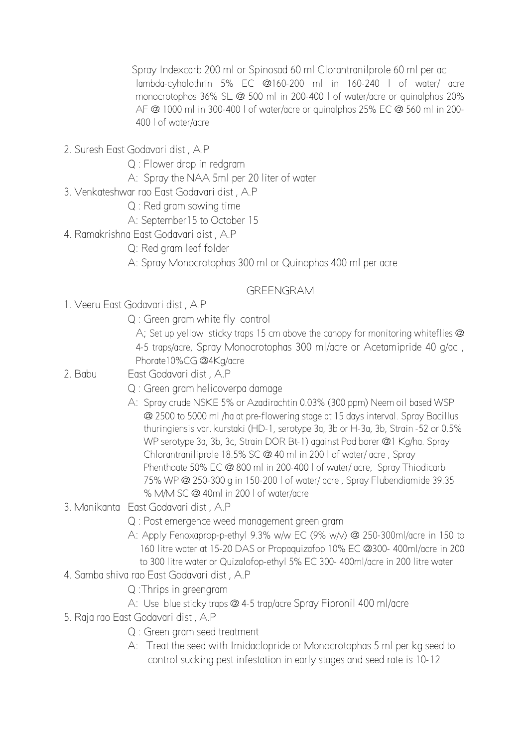Spray Indexcarb 200 ml or Spinosad 60 ml Clorantranilprole 60 ml per ac lambda-cyhalothrin 5% EC @160-200 ml in 160-240 l of water/ acre monocrotophos 36% SL @ 500 ml in 200-400 l of water/acre or quinalphos 20% AF @ 1000 ml in 300-400 l of water/acre or quinalphos 25% EC @ 560 ml in 200- 400 l of water/acre

- 2. Suresh East Godavari dist , A.P
	- Q : Flower drop in redgram
	- A: Spray the NAA 5ml per 20 liter of water
- 3. Venkateshwar rao East Godavari dist , A.P
	- Q : Red gram sowing time
	- A: September15 to October 15
- 4. Ramakrishna East Godavari dist , A.P
	- Q: Red gram leaf folder
	- A: Spray Monocrotophas 300 ml or Quinophas 400 ml per acre

## GREENGRAM

- 1. Veeru East Godavari dist , A.P
	- Q : Green gram white fly control

A; Set up yellow sticky traps 15 cm above the canopy for monitoring whiteflies @ 4-5 traps/acre, Spray Monocrotophas 300 ml/acre or Acetamipride 40 g/ac , Phorate10%CG @4Kg/acre

- 2. Babu East Godavari dist , A.P
	- Q : Green gram helicoverpa damage
	- A: Spray crude NSKE 5% or Azadirachtin 0.03% (300 ppm) Neem oil based WSP @ 2500 to 5000 ml /ha at pre-flowering stage at 15 days interval. Spray Bacillus thuringiensis var. kurstaki (HD-1, serotype 3a, 3b or H-3a, 3b, Strain -52 or 0.5% WP serotype 3a, 3b, 3c, Strain DOR Bt-1) against Pod borer @1 Kg/ha. Spray Chlorantraniliprole 18.5% SC @ 40 ml in 200 l of water/ acre , Spray Phenthoate 50% EC @ 800 ml in 200-400 l of water/ acre, Spray Thiodicarb 75% WP @ 250-300 g in 150-200 l of water/ acre , Spray Flubendiamide 39.35 % M/M SC @ 40ml in 200 l of water/acre
- 3. Manikanta East Godavari dist , A.P
	- Q : Post emergence weed management green gram
	- A: Apply Fenoxaprop-p-ethyl 9.3% w/w EC (9% w/v) @ 250-300ml/acre in 150 to 160 litre water at 15-20 DAS or Propaquizafop 10% EC @300- 400ml/acre in 200 to 300 litre water or Quizalofop-ethyl 5% EC 300- 400ml/acre in 200 litre water
- 4. Samba shiva rao East Godavari dist , A.P
	- Q :Thrips in greengram
	- A: Use blue sticky traps @ 4-5 trap/acre Spray Fipronil 400 ml/acre
- 5. Raja rao East Godavari dist , A.P
	- Q : Green gram seed treatment
	- A: Treat the seed with Imidaclopride or Monocrotophas 5 ml per kg seed to control sucking pest infestation in early stages and seed rate is 10-12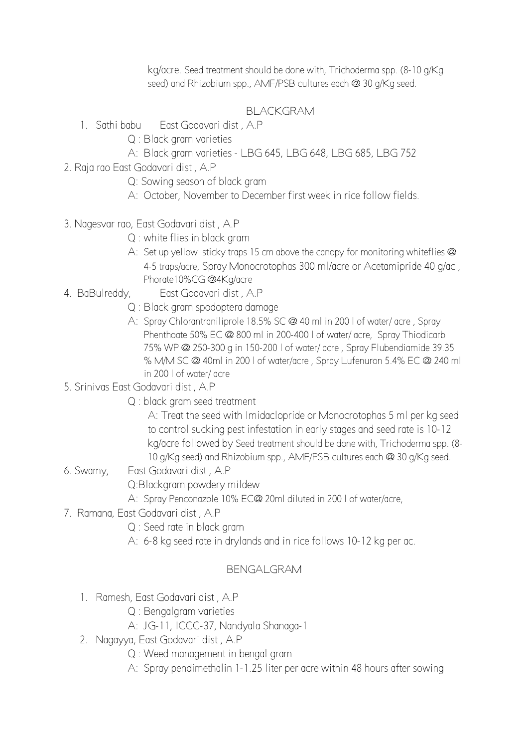kg/acre. Seed treatment should be done with, Trichoderma spp. (8-10 g/Kg seed) and Rhizobium spp., AMF/PSB cultures each @ 30 g/Kg seed.

# BLACKGRAM

- 1. Sathi babu East Godavari dist , A.P
	- Q : Black gram varieties
	- A: Black gram varieties LBG 645, LBG 648, LBG 685, LBG 752
- 2. Raja rao East Godavari dist , A.P
	- Q: Sowing season of black gram
	- A: October, November to December first week in rice follow fields.
- 3. Nagesvar rao, East Godavari dist , A.P
	- Q : white flies in black gram
	- A: Set up yellow sticky traps 15 cm above the canopy for monitoring whiteflies @ 4-5 traps/acre, Spray Monocrotophas 300 ml/acre or Acetamipride 40 g/ac , Phorate10%CG @4Kg/acre
- 4. BaBulreddy, East Godavari dist , A.P
	- Q : Black gram spodoptera damage
	- A: Spray Chlorantraniliprole 18.5% SC @ 40 ml in 200 l of water/ acre , Spray Phenthoate 50% EC @ 800 ml in 200-400 l of water/ acre, Spray Thiodicarb 75% WP @ 250-300 g in 150-200 l of water/ acre , Spray Flubendiamide 39.35 % M/M SC @ 40ml in 200 l of water/acre , Spray Lufenuron 5.4% EC @ 240 ml in 200 l of water/ acre
- 5. Srinivas East Godavari dist , A.P
	- Q : black gram seed treatment

 A: Treat the seed with Imidaclopride or Monocrotophas 5 ml per kg seed to control sucking pest infestation in early stages and seed rate is 10-12 kg/acre followed by Seed treatment should be done with, Trichoderma spp. (8- 10 g/Kg seed) and Rhizobium spp., AMF/PSB cultures each @ 30 g/Kg seed.

- 6. Swamy, East Godavari dist , A.P Q:Blackgram powdery mildew A: Spray Penconazole 10% EC@ 20ml diluted in 200 l of water/acre,
- 7. Ramana, East Godavari dist , A.P
	- Q : Seed rate in black gram
	- A: 6-8 kg seed rate in drylands and in rice follows 10-12 kg per ac.

## BENGALGRAM

- 1. Ramesh, East Godavari dist , A.P
	- Q : Bengalgram varieties
	- A: JG-11, ICCC-37, Nandyala Shanaga-1
- 2. Nagayya, East Godavari dist , A.P
	- Q : Weed management in bengal gram
	- A: Spray pendimethalin 1-1.25 liter per acre within 48 hours after sowing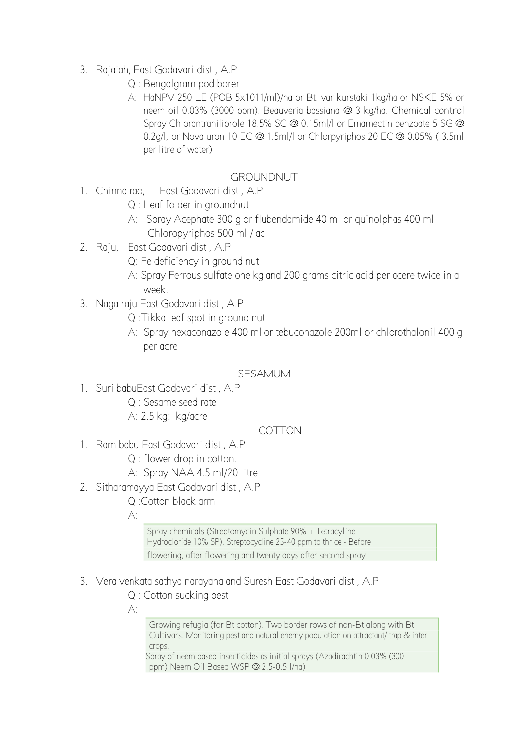- 3. Rajaiah, East Godavari dist , A.P
	- Q : Bengalgram pod borer
	- A: HaNPV 250 LE (POB 5x1011/ml)/ha or Bt. var kurstaki 1kg/ha or NSKE 5% or neem oil 0.03% (3000 ppm). Beauveria bassiana @ 3 kg/ha. Chemical control Spray Chlorantraniliprole 18.5% SC @ 0.15ml/l or Emamectin benzoate 5 SG @ 0.2g/l, or Novaluron 10 EC @ 1.5ml/l or Chlorpyriphos 20 EC @ 0.05% ( 3.5ml per litre of water)

### GROUNDNUT

- 1. Chinna rao, Fast Godavari dist, A.P.
	- Q : Leaf folder in groundnut
	- A: Spray Acephate 300 g or flubendamide 40 ml or quinolphas 400 ml Chloropyriphos 500 ml / ac
- 2. Raju, East Godavari dist , A.P
	- Q: Fe deficiency in ground nut
	- A: Spray Ferrous sulfate one kg and 200 grams citric acid per acere twice in a week.
- 3. Naga raju East Godavari dist , A.P
	- Q :Tikka leaf spot in ground nut
	- A: Spray hexaconazole 400 ml or tebuconazole 200ml or chlorothalonil 400 g per acre

#### SESAMUM

- 1. Suri babuEast Godavari dist , A.P
	- Q : Sesame seed rate
		- A: 2.5 kg: kg/acre

## COTTON

- 1. Ram babu East Godavari dist , A.P
	- Q : flower drop in cotton.
	- A: Spray NAA 4.5 ml/20 litre
- 2. Sitharamayya East Godavari dist , A.P
	- Q :Cotton black arm

 $A^{\cdot}$ 

Spray chemicals (Streptomycin Sulphate 90% + Tetracyline Hydrocloride 10% SP). Streptocycline 25-40 ppm to thrice - Before flowering, after flowering and twenty days after second spray

- 3. Vera venkata sathya narayana and Suresh East Godavari dist , A.P
	- Q : Cotton sucking pest
	- A:

Growing refugia (for Bt cotton). Two border rows of non-Bt along with Bt Cultivars. Monitoring pest and natural enemy population on attractant/ trap & inter crops.

Spray of neem based insecticides as initial sprays (Azadirachtin 0.03% (300 ppm) Neem Oil Based WSP @ 2.5-0.5 l/ha)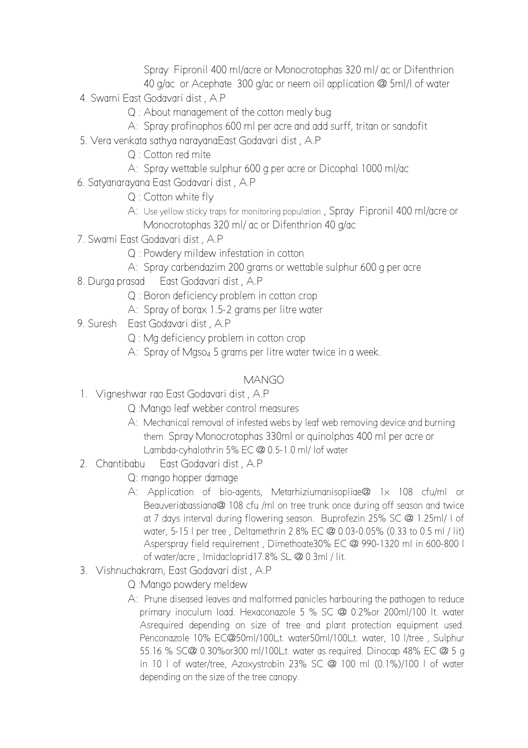Spray Fipronil 400 ml/acre or Monocrotophas 320 ml/ ac or Difenthrion 40 g/ac or Acephate 300 g/ac or neem oil application @ 5ml/l of water

- 4. Swami East Godavari dist , A.P
	- Q : About management of the cotton mealy bug
	- A: Spray profinophos 600 ml per acre and add surff, tritan or sandofit
- 5. Vera venkata sathya narayanaEast Godavari dist , A.P
	- Q : Cotton red mite
	- A: Spray wettable sulphur 600 g per acre or Dicophal 1000 ml/ac
- 6. Satyanarayana East Godavari dist , A.P
	- Q : Cotton white fly
	- A: Use yellow sticky traps for monitoring population , Spray Fipronil 400 ml/acre or Monocrotophas 320 ml/ ac or Difenthrion 40 g/ac
- 7. Swami East Godavari dist , A.P
	- Q : Powdery mildew infestation in cotton
	- A: Spray carbendazim 200 grams or wettable sulphur 600 g per acre
- 8. Durga prasad East Godavari dist , A.P
	- Q : Boron deficiency problem in cotton crop
	- A: Spray of borax 1.5-2 grams per litre water
- 9. Suresh East Godavari dist , A.P
	- Q : Mg deficiency problem in cotton crop
	- A: Spray of Mgso4 5 grams per litre water twice in a week.

# MANGO

- 1. Vigneshwar rao East Godavari dist , A.P
	- Q :Mango leaf webber control measures
	- A: Mechanical removal of infested webs by leaf web removing device and burning them Spray Monocrotophas 330ml or quinolphas 400 ml per acre or Lambda-cyhalothrin 5% EC @ 0.5-1.0 ml/ lof water
- 2. Chantibabu East Godavari dist , A.P
	- Q: mango hopper damage
	- A: Application of bio-agents, Metarhiziumanisopliae@ 1x 108 cfu/ml or Beauveriabassiana@ 108 cfu /ml on tree trunk once during off season and twice at 7 days interval during flowering season. Buprofezin 25% SC @ 1.25ml/ l of water, 5-15 l per tree , Deltamethrin 2.8% EC @ 0.03-0.05% (0.33 to 0.5 ml / lit) Asperspray field requirement , Dimethoate30% EC @ 990-1320 ml in 600-800 l of water/acre , Imidacloprid17.8% SL @ 0.3ml / lit.
- 3. Vishnuchakram, East Godavari dist , A.P
	- Q :Mango powdery meldew
	- A: Prune diseased leaves and malformed panicles harbouring the pathogen to reduce primary inoculum load. Hexaconazole 5 % SC @ 0.2%or 200ml/100 lt. water Asrequired depending on size of tree and plant protection equipment used. Penconazole 10% EC@50ml/100Lt. water50ml/100Lt. water, 10 l/tree , Sulphur 55.16 % SC@ 0.30%or300 ml/100Lt. water as required. Dinocap 48% EC @ 5 g in 10 l of water/tree, Azoxystrobin 23% SC @ 100 ml (0.1%)/100 l of water depending on the size of the tree canopy.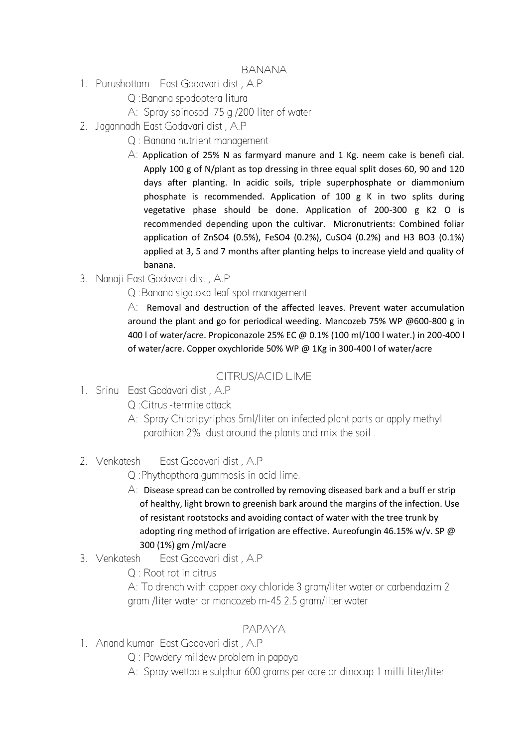- 1. Purushottam East Godavari dist , A.P
	- Q :Banana spodoptera litura
	- A: Spray spinosad 75 g /200 liter of water
- 2. Jagannadh East Godavari dist , A.P
	- Q : Banana nutrient management
	- A: Application of 25% N as farmyard manure and 1 Kg. neem cake is benefi cial. Apply 100 g of N/plant as top dressing in three equal split doses 60, 90 and 120 days after planting. In acidic soils, triple superphosphate or diammonium phosphate is recommended. Application of 100 g K in two splits during vegetative phase should be done. Application of 200-300 g K2 O is recommended depending upon the cultivar. Micronutrients: Combined foliar application of ZnSO4 (0.5%), FeSO4 (0.2%), CuSO4 (0.2%) and H3 BO3 (0.1%) applied at 3, 5 and 7 months after planting helps to increase yield and quality of banana.
- 3. Nanaji East Godavari dist , A.P
	- Q :Banana sigatoka leaf spot management

 $\overline{A}$ : Removal and destruction of the affected leaves. Prevent water accumulation around the plant and go for periodical weeding. Mancozeb 75% WP @600-800 g in 400 l of water/acre. Propiconazole 25% EC @ 0.1% (100 ml/100 l water.) in 200-400 l of water/acre. Copper oxychloride 50% WP @ 1Kg in 300-400 l of water/acre

# CITRUS/ACID LIME

- 1. Srinu East Godavari dist , A.P
	- Q :Citrus -termite attack
	- A: Spray Chloripyriphos 5ml/liter on infected plant parts or apply methyl parathion 2% dust around the plants and mix the soil .
- 2. Venkatesh East Godavari dist , A.P

Q :Phythopthora gummosis in acid lime.

- $\forall$ : Disease spread can be controlled by removing diseased bark and a buff er strip of healthy, light brown to greenish bark around the margins of the infection. Use of resistant rootstocks and avoiding contact of water with the tree trunk by adopting ring method of irrigation are effective. Aureofungin 46.15% w/v. SP @ 300 (1%) gm /ml/acre
- 3. Venkatesh East Godavari dist , A.P
	- Q : Root rot in citrus

 A: To drench with copper oxy chloride 3 gram/liter water or carbendazim 2 gram /liter water or mancozeb m-45 2.5 gram/liter water

## PAPAYA

- 1. Anand kumar East Godavari dist , A.P
	- Q : Powdery mildew problem in papaya
	- A: Spray wettable sulphur 600 grams per acre or dinocap 1 milli liter/liter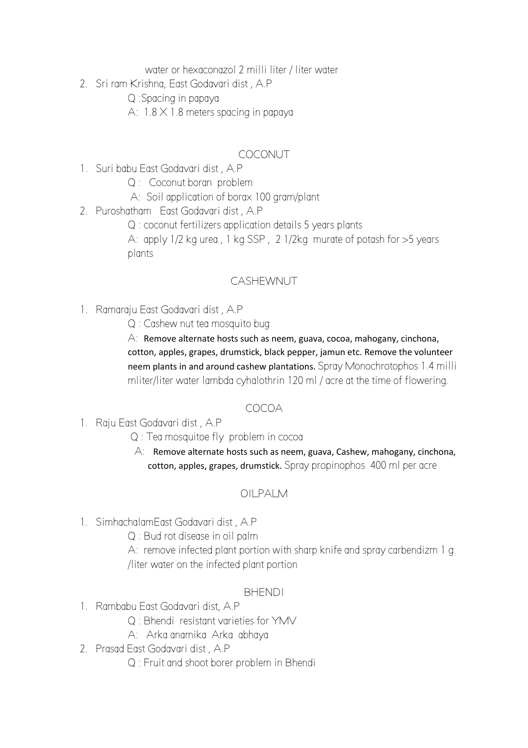water or hexaconazol 2 milli liter / liter water

2. Sri ram Krishna, East Godavari dist , A.P

Q :Spacing in papaya

A:  $1.8 \times 1.8$  meters spacing in papaya

# COCONUT

- 1. Suri babu East Godavari dist , A.P
	- Q : Coconut boran problem
	- A: Soil application of borax 100 gram/plant
- 2. Puroshatham East Godavari dist , A.P
	- Q : coconut fertilizers application details 5 years plants

A: apply 1/2 kg urea , 1 kg SSP , 2 1/2kg murate of potash for >5 years plants

# CASHEWNUT

- 1. Ramaraju East Godavari dist , A.P
	- Q : Cashew nut tea mosquito bug

A: Remove alternate hosts such as neem, guava, cocoa, mahogany, cinchona, cotton, apples, grapes, drumstick, black pepper, jamun etc. Remove the volunteer neem plants in and around cashew plantations. Spray Monochrotophos 1.4 milli mliter/liter water lambda cyhalothrin 120 ml / acre at the time of flowering.

# COCOA

## 1. Raju East Godavari dist , A.P

- Q : Tea mosquitoe fly problem in cocoa
- A: Remove alternate hosts such as neem, guava, Cashew, mahogany, cinchona, cotton, apples, grapes, drumstick. Spray propinophos 400 ml per acre

# OILPALM

- 1. SimhachalamEast Godavari dist , A.P
	- Q : Bud rot disease in oil palm

A: remove infected plant portion with sharp knife and spray carbendizm 1 g /liter water on the infected plant portion

#### **BHENDI**

- 1. Rambabu East Godavari dist, A.P
	- Q : Bhendi resistant varieties for YMV
	- A: Arka anamika Arka abhaya
- 2. Prasad East Godavari dist , A.P
	- Q : Fruit and shoot borer problem in Bhendi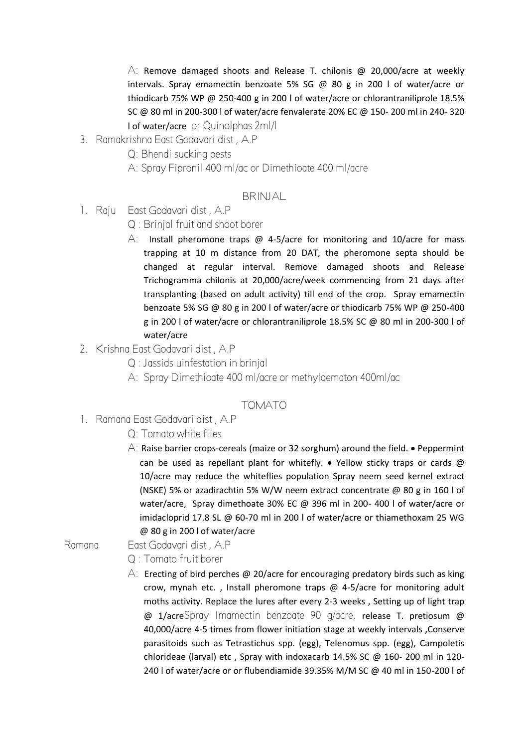$\overline{A}$ : Remove damaged shoots and Release T. chilonis @ 20,000/acre at weekly intervals. Spray emamectin benzoate 5% SG @ 80 g in 200 l of water/acre or thiodicarb 75% WP @ 250-400 g in 200 l of water/acre or chlorantraniliprole 18.5% SC @ 80 ml in 200-300 l of water/acre fenvalerate 20% EC @ 150- 200 ml in 240- 320 l of water/acre or Quinolphas 2ml/l

- 3. Ramakrishna East Godavari dist , A.P
	- Q: Bhendi sucking pests
	- A: Spray Fipronil 400 ml/ac or Dimethioate 400 ml/acre

#### **BRINJAL**

- 1. Raju East Godavari dist , A.P
	- Q : Brinjal fruit and shoot borer
	- $\overline{A}$ : Install pheromone traps @ 4-5/acre for monitoring and 10/acre for mass trapping at 10 m distance from 20 DAT, the pheromone septa should be changed at regular interval. Remove damaged shoots and Release Trichogramma chilonis at 20,000/acre/week commencing from 21 days after transplanting (based on adult activity) till end of the crop. Spray emamectin benzoate 5% SG @ 80 g in 200 l of water/acre or thiodicarb 75% WP @ 250-400 g in 200 l of water/acre or chlorantraniliprole 18.5% SC @ 80 ml in 200-300 l of water/acre
- 2. Krishna East Godavari dist , A.P
	- Q : Jassids uinfestation in brinjal
	- A: Spray Dimethioate 400 ml/acre or methyldematon 400ml/ac

#### TOMATO

- 1. Ramana East Godavari dist , A.P
	- Q: Tomato white flies
	- A: Raise barrier crops-cereals (maize or 32 sorghum) around the field.  $\bullet$  Peppermint can be used as repellant plant for whitefly.  $\bullet$  Yellow sticky traps or cards @ 10/acre may reduce the whiteflies population Spray neem seed kernel extract (NSKE) 5% or azadirachtin 5% W/W neem extract concentrate @ 80 g in 160 l of water/acre, Spray dimethoate 30% EC @ 396 ml in 200- 400 l of water/acre or imidacloprid 17.8 SL @ 60-70 ml in 200 l of water/acre or thiamethoxam 25 WG @ 80 g in 200 l of water/acre

#### Ramana East Godavari dist , A.P

- Q : Tomato fruit borer
- $\forall$ : Erecting of bird perches @ 20/acre for encouraging predatory birds such as king crow, mynah etc. , Install pheromone traps @ 4-5/acre for monitoring adult moths activity. Replace the lures after every 2-3 weeks , Setting up of light trap @ 1/acreSpray Imamectin benzoate 90 g/acre, release T. pretiosum @ 40,000/acre 4-5 times from flower initiation stage at weekly intervals ,Conserve parasitoids such as Tetrastichus spp. (egg), Telenomus spp. (egg), Campoletis chlorideae (larval) etc , Spray with indoxacarb 14.5% SC @ 160- 200 ml in 120- 240 l of water/acre or or flubendiamide 39.35% M/M SC @ 40 ml in 150-200 l of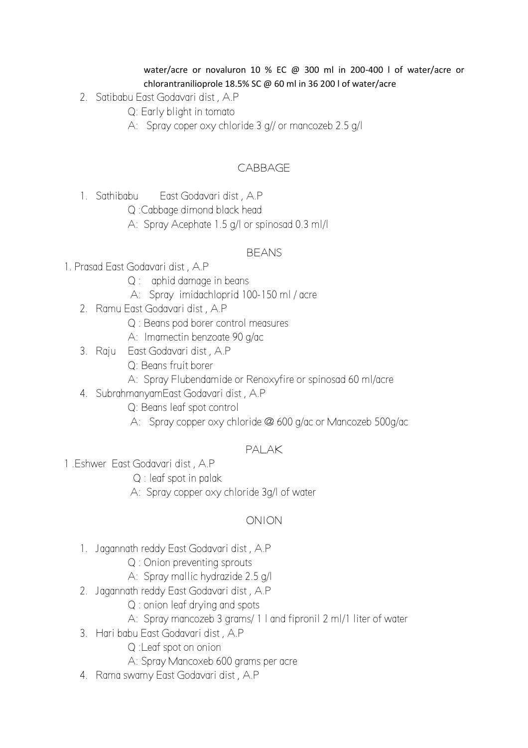#### water/acre or novaluron 10 % EC @ 300 ml in 200-400 l of water/acre or chlorantranilioprole 18.5% SC @ 60 ml in 36 200 l of water/acre

- 2. Satibabu East Godavari dist , A.P
	- Q: Early blight in tomato
	- A: Spray coper oxy chloride 3 g// or mancozeb 2.5 g/l

# **CABBAGE**

- 1. Sathibabu East Godavari dist , A.P
	- Q :Cabbage dimond black head
	- A: Spray Acephate 1.5 g/l or spinosad 0.3 ml/l

#### BEANS

- 1. Prasad East Godavari dist , A.P
	- Q : aphid damage in beans
	- A: Spray imidachloprid 100-150 ml / acre
	- 2. Ramu East Godavari dist , A.P
		- Q : Beans pod borer control measures
		- A: Imamectin benzoate 90 g/ac
	- 3. Raju East Godavari dist , A.P
		- Q: Beans fruit borer
		- A: Spray Flubendamide or Renoxyfire or spinosad 60 ml/acre
	- 4. SubrahmanyamEast Godavari dist , A.P
		- Q: Beans leaf spot control
		- A: Spray copper oxy chloride @ 600 g/ac or Mancozeb 500g/ac

## PALAK

- 1 .Eshwer East Godavari dist , A.P
	- Q : leaf spot in palak
	- A: Spray copper oxy chloride 3g/l of water

## ONION

- 1. Jagannath reddy East Godavari dist , A.P
	- Q : Onion preventing sprouts
	- A: Spray mallic hydrazide 2.5 g/l
- 2. Jagannath reddy East Godavari dist , A.P
	- Q : onion leaf drying and spots
	- A: Spray mancozeb 3 grams/ 1 l and fipronil 2 ml/1 liter of water
- 3. Hari babu East Godavari dist , A.P
	- Q :Leaf spot on onion
	- A: Spray Mancoxeb 600 grams per acre
- 4. Rama swamy East Godavari dist , A.P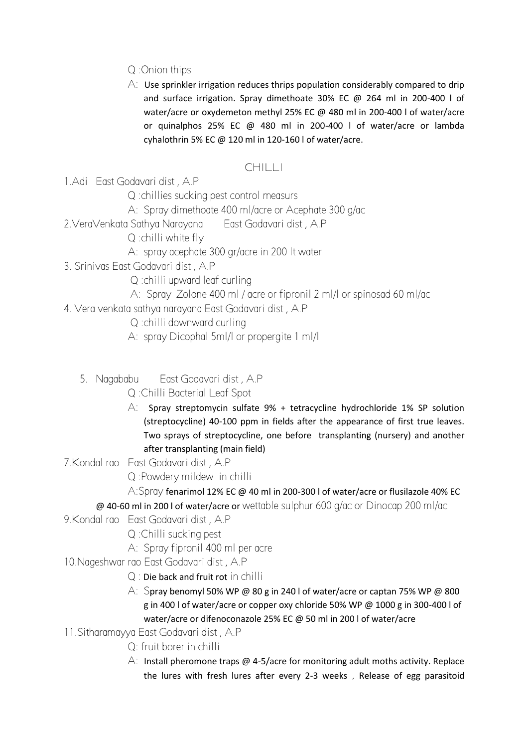# Q :Onion thips

 $\overline{A}$ : Use sprinkler irrigation reduces thrips population considerably compared to drip and surface irrigation. Spray dimethoate 30% EC @ 264 ml in 200-400 l of water/acre or oxydemeton methyl 25% EC @ 480 ml in 200-400 l of water/acre or quinalphos 25% EC @ 480 ml in 200-400 l of water/acre or lambda cyhalothrin 5% EC @ 120 ml in 120-160 l of water/acre.

# CHILLI

1.Adi East Godavari dist , A.P

Q :chillies sucking pest control measurs

A: Spray dimethoate 400 ml/acre or Acephate 300 g/ac

2.VeraVenkata Sathya Narayana East Godavari dist , A.P

Q :chilli white fly

- A: spray acephate 300 gr/acre in 200 lt water
- 3. Srinivas East Godavari dist , A.P
	- Q :chilli upward leaf curling
	- A: Spray Zolone 400 ml / acre or fipronil 2 ml/l or spinosad 60 ml/ac
- 4. Vera venkata sathya narayana East Godavari dist , A.P

Q :chilli downward curling

- A: spray Dicophal 5ml/l or propergite 1 ml/l
- 5. Nagababu East Godavari dist , A.P
	- Q :Chilli Bacterial Leaf Spot
	- A: Spray streptomycin sulfate 9% + tetracycline hydrochloride 1% SP solution (streptocycline) 40-100 ppm in fields after the appearance of first true leaves. Two sprays of streptocycline, one before transplanting (nursery) and another after transplanting (main field)

7.Kondal rao East Godavari dist , A.P

Q :Powdery mildew in chilli

A:Spray fenarimol 12% EC @ 40 ml in 200-300 l of water/acre or flusilazole 40% EC

- @ 40-60 ml in 200 l of water/acre or wettable sulphur 600 g/ac or Dinocap 200 ml/ac
- 9.Kondal rao East Godavari dist , A.P
	- Q :Chilli sucking pest
	- A: Spray fipronil 400 ml per acre
- 10.Nageshwar rao East Godavari dist , A.P
	- Q : Die back and fruit rot in chilli
	- A: Spray benomyl 50% WP @ 80 g in 240 l of water/acre or captan 75% WP @ 800 g in 400 l of water/acre or copper oxy chloride 50% WP @ 1000 g in 300-400 l of water/acre or difenoconazole 25% EC @ 50 ml in 200 l of water/acre
- 11.Sitharamayya East Godavari dist , A.P
	- Q: fruit borer in chilli
	- A: Install pheromone traps @ 4-5/acre for monitoring adult moths activity. Replace the lures with fresh lures after every 2-3 weeks , Release of egg parasitoid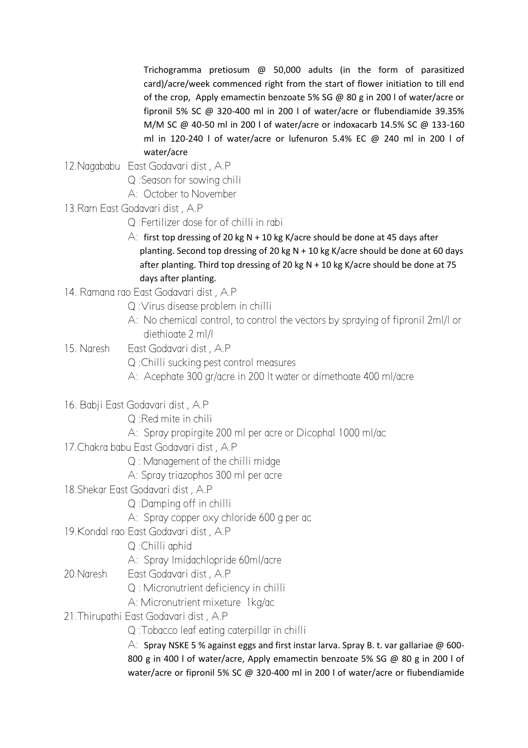Trichogramma pretiosum @ 50,000 adults (in the form of parasitized card)/acre/week commenced right from the start of flower initiation to till end of the crop, Apply emamectin benzoate 5% SG @ 80 g in 200 l of water/acre or fipronil 5% SC @ 320-400 ml in 200 l of water/acre or flubendiamide 39.35% M/M SC @ 40-50 ml in 200 l of water/acre or indoxacarb 14.5% SC @ 133-160 ml in 120-240 l of water/acre or lufenuron 5.4% EC @ 240 ml in 200 l of water/acre

# 12.Nagababu East Godavari dist , A.P

- Q :Season for sowing chili
- A: October to November
- 13.Ram East Godavari dist , A.P
	- Q :Fertilizer dose for of chilli in rabi
	- A: first top dressing of 20 kg N + 10 kg K/acre should be done at 45 days after planting. Second top dressing of 20 kg N + 10 kg K/acre should be done at 60 days after planting. Third top dressing of 20 kg  $N + 10$  kg K/acre should be done at 75 days after planting.
- 14. Ramana rao East Godavari dist , A.P
	- Q :Virus disease problem in chilli
	- A: No chemical control, to control the vectors by spraying of fipronil 2ml/l or diethioate 2 ml/l
- 15. Naresh East Godavari dist , A.P
	- Q :Chilli sucking pest control measures
	- A: Acephate 300 gr/acre in 200 lt water or dimethoate 400 ml/acre
- 16. Babji East Godavari dist , A.P
	- Q :Red mite in chili
	- A: Spray propirgite 200 ml per acre or Dicophal 1000 ml/ac
- 17.Chakra babu East Godavari dist , A.P
	- Q : Management of the chilli midge
	- A: Spray triazophos 300 ml per acre
- 18.Shekar East Godavari dist , A.P
	- Q :Damping off in chilli
	- A: Spray copper oxy chloride 600 g per ac
- 19.Kondal rao East Godavari dist , A.P
	- Q :Chilli aphid
	- A: Spray Imidachlopride 60ml/acre
- 20.Naresh East Godavari dist , A.P
	- Q : Micronutrient deficiency in chilli
	- A: Micronutrient mixeture 1kg/ac
- 21.Thirupathi East Godavari dist , A.P
	- Q :Tobacco leaf eating caterpillar in chilli

A: Spray NSKE 5 % against eggs and first instar larva. Spray B. t. var gallariae  $\omega$  600-800 g in 400 l of water/acre, Apply emamectin benzoate 5% SG @ 80 g in 200 l of water/acre or fipronil 5% SC @ 320-400 ml in 200 l of water/acre or flubendiamide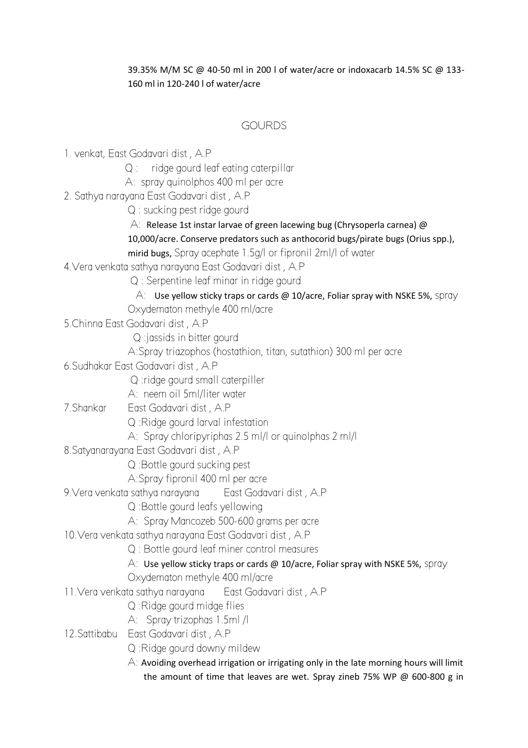#### 39.35% M/M SC @ 40-50 ml in 200 l of water/acre or indoxacarb 14.5% SC @ 133- 160 ml in 120-240 l of water/acre

# GOURDS

- 1. venkat, East Godavari dist , A.P
	- Q : ridge gourd leaf eating caterpillar
	- A: spray quinolphos 400 ml per acre
- 2. Sathya narayana East Godavari dist , A.P
	- Q : sucking pest ridge gourd
	- A: Release 1st instar larvae of green lacewing bug (Chrysoperla carnea)  $\omega$
	- 10,000/acre. Conserve predators such as anthocorid bugs/pirate bugs (Orius spp.),
	- mirid bugs, Spray acephate 1.5g/l or fipronil 2ml/l of water
- 4.Vera venkata sathya narayana East Godavari dist , A.P
	- Q : Serpentine leaf minar in ridge gourd
		- A: Use yellow sticky traps or cards @ 10/acre, Foliar spray with NSKE 5%, spray
	- Oxydematon methyle 400 ml/acre
- 5.Chinna East Godavari dist , A.P
	- Q :jassids in bitter gourd
	- A:Spray triazophos (hostathion, titan, sutathion) 300 ml per acre
- 6.Sudhakar East Godavari dist , A.P
	- Q :ridge gourd small caterpiller
	- A: neem oil 5ml/liter water
- 7.Shankar East Godavari dist , A.P
	- Q :Ridge gourd larval infestation
	- A: Spray chloripyriphas 2.5 ml/l or quinolphas 2 ml/l
- 8.Satyanarayana East Godavari dist , A.P
	- Q :Bottle gourd sucking pest
	- A:Spray fipronil 400 ml per acre
- 9.Vera venkata sathya narayana East Godavari dist , A.P
	- Q :Bottle gourd leafs yellowing
	- A: Spray Mancozeb 500-600 grams per acre
- 10.Vera venkata sathya narayana East Godavari dist , A.P
	- Q : Bottle gourd leaf miner control measures
	- A: Use yellow sticky traps or cards  $\omega$  10/acre, Foliar spray with NSKE 5%, spray
	- Oxydematon methyle 400 ml/acre
- 11.Vera venkata sathya narayana East Godavari dist , A.P
	- Q :Ridge gourd midge flies
	- A: Spray trizophas 1.5ml /l
- 12.Sattibabu East Godavari dist , A.P
	- Q :Ridge gourd downy mildew
	- $\overline{A}$ : Avoiding overhead irrigation or irrigating only in the late morning hours will limit the amount of time that leaves are wet. Spray zineb 75% WP @ 600-800 g in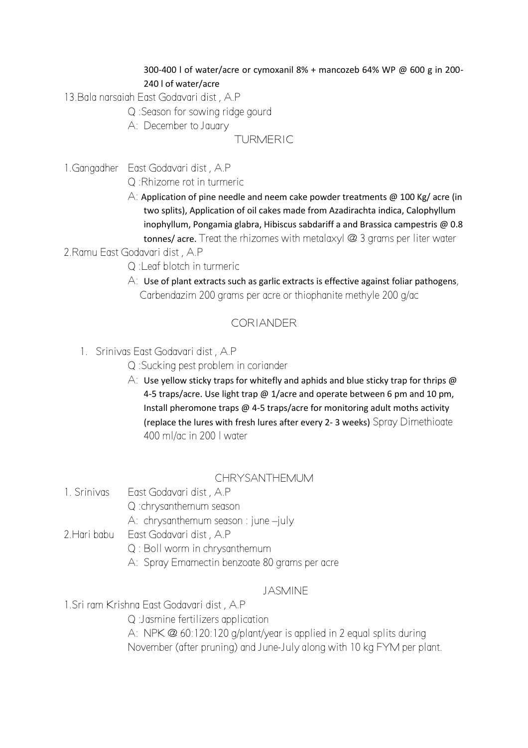#### 300-400 l of water/acre or cymoxanil 8% + mancozeb 64% WP @ 600 g in 200- 240 l of water/acre

- 13.Bala narsaiah East Godavari dist , A.P
	- Q :Season for sowing ridge gourd
	- A: December to Jauary

# TURMERIC

1.Gangadher East Godavari dist , A.P

Q :Rhizome rot in turmeric

A: Application of pine needle and neem cake powder treatments @ 100 Kg/ acre (in two splits), Application of oil cakes made from Azadirachta indica, Calophyllum inophyllum, Pongamia glabra, Hibiscus sabdariff a and Brassica campestris @ 0.8 tonnes/ acre. Treat the rhizomes with metalaxyl @ 3 grams per liter water

# 2.Ramu East Godavari dist , A.P

- Q :Leaf blotch in turmeric
- $\forall$ : Use of plant extracts such as garlic extracts is effective against foliar pathogens, Carbendazim 200 grams per acre or thiophanite methyle 200 g/ac

# CORIANDER

1. Srinivas East Godavari dist , A.P

Q :Sucking pest problem in coriander

A: Use yellow sticky traps for whitefly and aphids and blue sticky trap for thrips  $\omega$ 4-5 traps/acre. Use light trap @ 1/acre and operate between 6 pm and 10 pm, Install pheromone traps @ 4-5 traps/acre for monitoring adult moths activity (replace the lures with fresh lures after every 2- 3 weeks) Spray Dimethioate 400 ml/ac in 200 l water

# CHRYSANTHEMUM

- 1. Srinivas East Godavari dist , A.P Q :chrysanthemum season A: chrysanthemum season : june –july
- 2.Hari babu East Godavari dist , A.P
	- Q : Boll worm in chrysanthemum
	- A: Spray Emamectin benzoate 80 grams per acre

# JASMINE

1.Sri ram Krishna East Godavari dist , A.P

Q :Jasmine fertilizers application

A: NPK @ 60:120:120 g/plant/year is applied in 2 equal splits during November (after pruning) and June-July along with 10 kg FYM per plant.